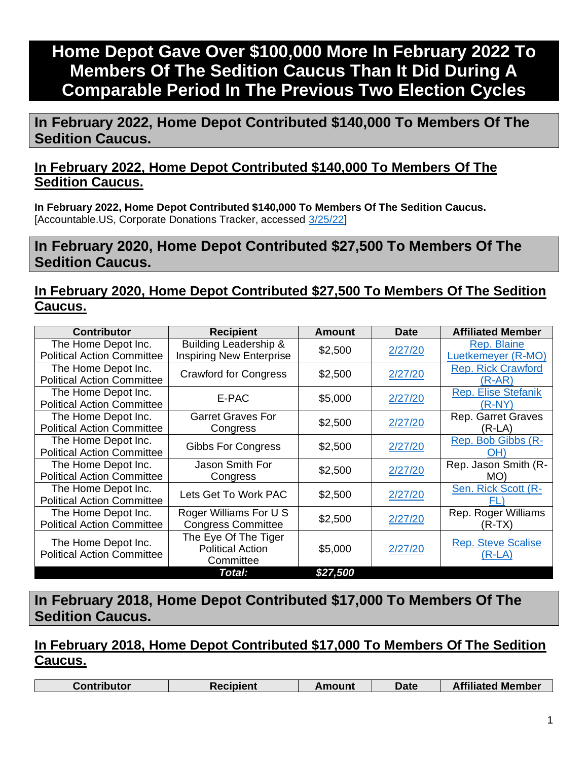# **Home Depot Gave Over \$100,000 More In February 2022 To Members Of The Sedition Caucus Than It Did During A Comparable Period In The Previous Two Election Cycles**

**In February 2022, Home Depot Contributed \$140,000 To Members Of The Sedition Caucus.** 

## **In February 2022, Home Depot Contributed \$140,000 To Members Of The Sedition Caucus.**

**In February 2022, Home Depot Contributed \$140,000 To Members Of The Sedition Caucus.**  [Accountable.US, Corporate Donations Tracker, accessed [3/25/22\]](https://www.accountable.us/corporate-donations-tracker/)

**In February 2020, Home Depot Contributed \$27,500 To Members Of The Sedition Caucus.**

## **In February 2020, Home Depot Contributed \$27,500 To Members Of The Sedition Caucus.**

| <b>Contributor</b>                                       | <b>Recipient</b>                                             | Amount   | <b>Date</b> | <b>Affiliated Member</b>               |
|----------------------------------------------------------|--------------------------------------------------------------|----------|-------------|----------------------------------------|
| The Home Depot Inc.<br><b>Political Action Committee</b> | Building Leadership &<br><b>Inspiring New Enterprise</b>     | \$2,500  | 2/27/20     | Rep. Blaine<br>Luetkemeyer (R-MO)      |
| The Home Depot Inc.<br><b>Political Action Committee</b> | <b>Crawford for Congress</b>                                 | \$2,500  | 2/27/20     | <b>Rep. Rick Crawford</b><br>$(R-AR)$  |
| The Home Depot Inc.<br><b>Political Action Committee</b> | E-PAC                                                        | \$5,000  | 2/27/20     | <b>Rep. Elise Stefanik</b><br>$(R-NY)$ |
| The Home Depot Inc.<br><b>Political Action Committee</b> | <b>Garret Graves For</b><br>Congress                         | \$2,500  | 2/27/20     | <b>Rep. Garret Graves</b><br>(R-LA)    |
| The Home Depot Inc.<br><b>Political Action Committee</b> | <b>Gibbs For Congress</b>                                    | \$2,500  | 2/27/20     | Rep. Bob Gibbs (R-<br>OH)              |
| The Home Depot Inc.<br><b>Political Action Committee</b> | Jason Smith For<br>Congress                                  | \$2,500  | 2/27/20     | Rep. Jason Smith (R-<br>MO)            |
| The Home Depot Inc.<br><b>Political Action Committee</b> | Lets Get To Work PAC                                         | \$2,500  | 2/27/20     | Sen. Rick Scott (R-<br>FL              |
| The Home Depot Inc.<br><b>Political Action Committee</b> | Roger Williams For U S<br><b>Congress Committee</b>          | \$2,500  | 2/27/20     | Rep. Roger Williams<br>(R-TX)          |
| The Home Depot Inc.<br><b>Political Action Committee</b> | The Eye Of The Tiger<br><b>Political Action</b><br>Committee | \$5,000  | 2/27/20     | <b>Rep. Steve Scalise</b><br>(R-LA)    |
|                                                          | Total:                                                       | \$27,500 |             |                                        |

## **In February 2018, Home Depot Contributed \$17,000 To Members Of The Sedition Caucus.**

## **In February 2018, Home Depot Contributed \$17,000 To Members Of The Sedition Caucus.**

| <b>Affiliated Member</b><br>Date<br>こontributor<br><b>≀ecipient</b><br>้ mount |
|--------------------------------------------------------------------------------|
|--------------------------------------------------------------------------------|